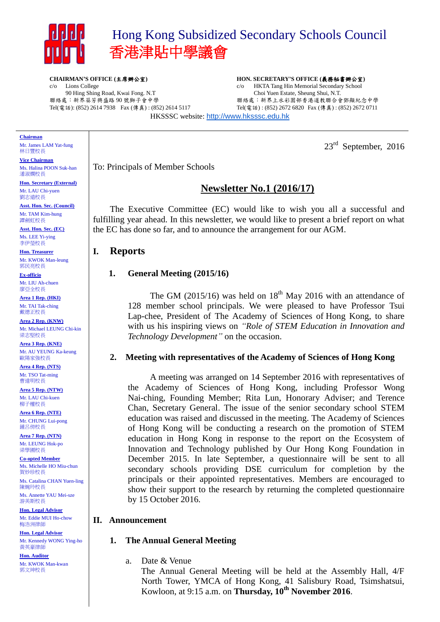

# Hong Kong Subsidized Secondary Schools Council 香港津貼中學議會

**CHAIRMAN'S OFFICE (**主席辦公室**)** c/o Lions College 90 Hing Shing Road, Kwai Fong. N.T 聯絡處:新界葵芳興盛路 90 號獅子會中學 Tel(電話): (852) 2614 7938 Fax (傳真) : (852) 2614 5117 **HON. SECRETARY'S OFFICE (**義務秘書辦公室**)** c/o HKTA Tang Hin Memorial Secondary School Choi Yuen Estate, Sheung Shui, N.T. 聯絡處:新界上水彩園邨香港道教聯合會鄧顯紀念中學 Tel(電話) : (852) 2672 6820 Fax (傳真) : (852) 2672 0711

HKSSSC website: [http://www.hksssc.edu.hk](http://www.hksssc.edu.hk/)

#### **Chairman**

Mr. James LAM Yat-fung 林日豐校長

**Vice Chairman** Ms. Halina POON Suk-han 潘淑嫻校長

**Hon. Secretary (External)** Mr. LAU Chi-yuen 劉志遠校長

**Asst. Hon. Sec. (Council)** Mr. TAM Kim-hung 譚劍虹校長

**Asst. Hon. Sec. (EC)** Ms. LEE Yi-ying 李伊瑩校長

**Hon. Treasurer** Mr. KWOK Man-leung 郭民亮校長

**Ex-officio** Mr. LIU Ah-chuen 廖亞全校長

**Area 1 Rep. (HKI)** Mr. TAI Tak-ching 戴德正校長

**Area 2 Rep. (KNW)** Mr. Michael LEUNG Chi-kin 梁志堅校長

**Area 3 Rep. (KNE)** Mr. AU YEUNG Ka-keung 歐陽家強校長

**Area 4 Rep. (NTS)** Mr. TSO Tat-ming 曹達明校長

**Area 5 Rep. (NTW)** Mr. LAU Chi-kuen 柳子權校長

**Area 6 Rep. (NTE)** Mr. CHUNG Lui-pong 鍾呂傍校長

**Area 7 Rep. (NTN)** Mr. LEUNG Hok-po 梁學圃校長

**Co-opted Member** Ms. Michelle HO Miu-chun 賀妙珍校長

Ms. Catalina CHAN Yuen-ling 陳婉玲校長 Ms. Annette YAU Mei-sze

游美斯校長 **Hon. Legal Advisor** Mr. Eddie MUI Ho-chow 梅浩洲律師

**Hon. Legal Advisor** Mr. Kennedy WONG Ying-ho 黃英豪律師

**Hon. Auditor** Mr. KWOK Man-kwan 郭文坤校長

 $23<sup>rd</sup>$  September, 2016

To: Principals of Member Schools

## **Newsletter No.1 (2016/17)**

The Executive Committee (EC) would like to wish you all a successful and fulfilling year ahead. In this newsletter, we would like to present a brief report on what the EC has done so far, and to announce the arrangement for our AGM.

## **I. Reports**

### **1. General Meeting (2015/16)**

The GM  $(2015/16)$  was held on  $18<sup>th</sup>$  May 2016 with an attendance of 128 member school principals. We were pleased to have Professor Tsui Lap-chee, President of The Academy of Sciences of Hong Kong, to share with us his inspiring views on *"Role of STEM Education in Innovation and Technology Development"* on the occasion.

### **2. Meeting with representatives of the Academy of Sciences of Hong Kong**

A meeting was arranged on 14 September 2016 with representatives of the Academy of Sciences of Hong Kong, including Professor Wong Nai-ching, Founding Member; Rita Lun, Honorary Adviser; and Terence Chan, Secretary General. The issue of the senior secondary school STEM education was raised and discussed in the meeting. The Academy of Sciences of Hong Kong will be conducting a research on the promotion of STEM education in Hong Kong in response to the report on the Ecosystem of Innovation and Technology published by Our Hong Kong Foundation in December 2015. In late September, a questionnaire will be sent to all secondary schools providing DSE curriculum for completion by the principals or their appointed representatives. Members are encouraged to show their support to the research by returning the completed questionnaire by 15 October 2016.

### **II. Announcement**

### **1. The Annual General Meeting**

a. Date & Venue

The Annual General Meeting will be held at the Assembly Hall, 4/F North Tower, YMCA of Hong Kong, 41 Salisbury Road, Tsimshatsui, Kowloon, at 9:15 a.m. on **Thursday, 10th November 2016**.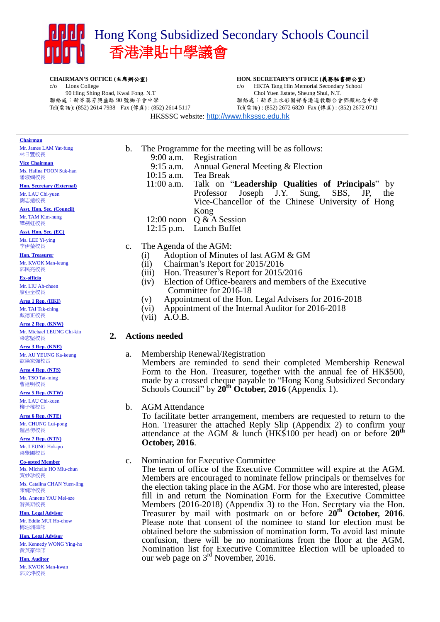

**CHAIRMAN'S OFFICE (**主席辦公室**)** c/o Lions College 90 Hing Shing Road, Kwai Fong. N.T 聯絡處:新界葵芳興盛路 90 號獅子會中學 Tel(電話): (852) 2614 7938 Fax (傳真) : (852) 2614 5117

#### **HON. SECRETARY'S OFFICE (**義務秘書辦公室**)** c/o HKTA Tang Hin Memorial Secondary School Choi Yuen Estate, Sheung Shui, N.T.

聯絡處:新界上水彩園邨香港道教聯合會鄧顯紀念中學 Tel(電話) : (852) 2672 6820 Fax (傳真) : (852) 2672 0711

HKSSSC website: [http://www.hksssc.edu.hk](http://www.hksssc.edu.hk/)

**Chairman**

Mr. James LAM Yat-fung 林日豐校長

**Vice Chairman** Ms. Halina POON Suk-han 潘淑嫻校長

**Hon. Secretary (External)** Mr. LAU Chi-yuen 劉志遠校長

**Asst. Hon. Sec. (Council)** Mr. TAM Kim-hung 譚劍虹校長

**Asst. Hon. Sec. (EC)** Ms. LEE Yi-ying 李伊瑩校長

**Hon. Treasurer** Mr. KWOK Man-leung 郭民亮校長

#### **Ex-officio** Mr. LIU Ah-chuen

廖亞全校長 **Area 1 Rep. (HKI)**

Mr. TAI Tak-ching 戴德正校長

**Area 2 Rep. (KNW)** Mr. Michael LEUNG Chi-kin 梁志堅校長

**Area 3 Rep. (KNE)** Mr. AU YEUNG Ka-keung 歐陽家強校長

**Area 4 Rep. (NTS)** Mr. TSO Tat-ming 曹達明校長

**Area 5 Rep. (NTW)** Mr. LAU Chi-kuen 柳子權校長

**Area 6 Rep. (NTE)** Mr. CHUNG Lui-pong 鍾呂傍校長

**Area 7 Rep. (NTN)** Mr. LEUNG Hok-po 梁學圃校長

**Co-opted Member** Ms. Michelle HO Miu-chun 賀妙珍校長

Ms. Catalina CHAN Yuen-ling 陳婉玲校長

Ms. Annette YAU Mei-sze 游美斯校長

**Hon. Legal Advisor** Mr. Eddie MUI Ho-chow 梅浩洲律師

**Hon. Legal Advisor** Mr. Kennedy WONG Ying-ho 黃英豪律師

**Hon. Auditor** Mr. KWOK Man-kwan 郭文坤校長

9:00 a.m. Registration 9:15 a.m. Annual General Meeting & Election

b. The Programme for the meeting will be as follows:

- 10:15 a.m. Tea Break
- 11:00 a.m. Talk on "**Leadership Qualities of Principals**" by
	- Professor Joseph J.Y. Sung, SBS, JP, the Vice-Chancellor of the Chinese University of Hong Kong
- 12:00 noon Q & A Session
- 12:15 p.m. Lunch Buffet
- c. The Agenda of the AGM:
	- (i) Adoption of Minutes of last AGM & GM
	- (ii) Chairman's Report for 2015/2016
	- (iii) Hon. Treasurer's Report for 2015/2016
	- (iv) Election of Office-bearers and members of the Executive Committee for 2016-18
	- (v) Appointment of the Hon. Legal Advisers for 2016-2018
	- (vi) Appointment of the Internal Auditor for 2016-2018
	- (vii) A.O.B.

## **2. Actions needed**

a. Membership Renewal/Registration Members are reminded to send their completed Membership Renewal Form to the Hon. Treasurer, together with the annual fee of HK\$500, made by a crossed cheque payable to "Hong Kong Subsidized Secondary Schools Council" by **20th October, 2016** (Appendix 1).

### b. AGM Attendance

To facilitate better arrangement, members are requested to return to the Hon. Treasurer the attached Reply Slip (Appendix 2) to confirm your attendance at the AGM & lunch (HK\$100 per head) on or before **20th October, 2016**.

c. Nomination for Executive Committee

The term of office of the Executive Committee will expire at the AGM. Members are encouraged to nominate fellow principals or themselves for the election taking place in the AGM. For those who are interested, please fill in and return the Nomination Form for the Executive Committee Members (2016-2018) (Appendix 3) to the Hon. Secretary via the Hon. Treasurer by mail with postmark on or before **20th October, 2016**. Please note that consent of the nominee to stand for election must be obtained before the submission of nomination form. To avoid last minute confusion, there will be no nominations from the floor at the AGM. Nomination list for Executive Committee Election will be uploaded to our web page on  $3<sup>rd</sup>$  November, 2016.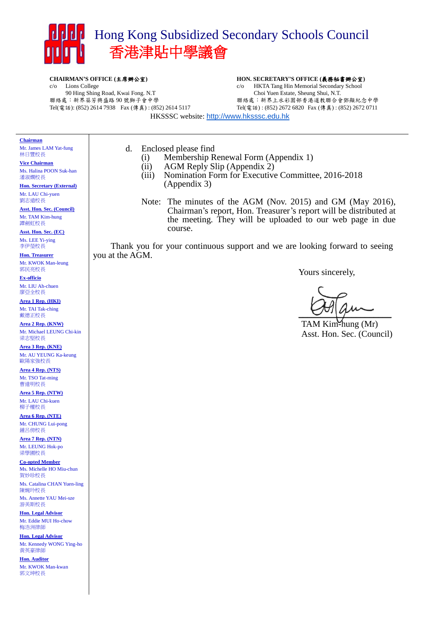

**CHAIRMAN'S OFFICE (**主席辦公室**)** c/o Lions College 90 Hing Shing Road, Kwai Fong. N.T 聯絡處:新界葵芳興盛路 90 號獅子會中學 Tel(電話): (852) 2614 7938 Fax (傳真) : (852) 2614 5117

#### **HON. SECRETARY'S OFFICE (**義務秘書辦公室**)** c/o HKTA Tang Hin Memorial Secondary School Choi Yuen Estate, Sheung Shui, N.T. 聯絡處:新界上水彩園邨香港道教聯合會鄧顯紀念中學 Tel(電話) : (852) 2672 6820 Fax (傳真) : (852) 2672 0711

HKSSSC website: [http://www.hksssc.edu.hk](http://www.hksssc.edu.hk/)

#### **Chairman**

Mr. James LAM Yat-fung 林日豐校長

**Vice Chairman** Ms. Halina POON Suk-han 潘淑嫻校長

**Hon. Secretary (External)** Mr. LAU Chi-yuen 劉志遠校長

**Asst. Hon. Sec. (Council)** Mr. TAM Kim-hung 譚劍虹校長

**Asst. Hon. Sec. (EC)** Ms. LEE Yi-ying 李伊瑩校長

**Hon. Treasurer** Mr. KWOK Man-leung 郭民亮校長

**Ex-officio** Mr. LIU Ah-chuen 廖亞全校長

**Area 1 Rep. (HKI)** Mr. TAI Tak-ching 戴德正校長

**Area 2 Rep. (KNW)** Mr. Michael LEUNG Chi-kin 梁志堅校長

**Area 3 Rep. (KNE)** Mr. AU YEUNG Ka-keung 歐陽家強校長

**Area 4 Rep. (NTS)** Mr. TSO Tat-ming 曹達明校長

**Area 5 Rep. (NTW)** Mr. LAU Chi-kuen 柳子權校長

**Area 6 Rep. (NTE)** Mr. CHUNG Lui-pong 鍾呂傍校長

**Area 7 Rep. (NTN)** Mr. LEUNG Hok-po 梁學圃校長

**Co-opted Member** Ms. Michelle HO Miu-chun 賀妙珍校長

Ms. Catalina CHAN Yuen-ling 陳婉玲校長

Ms. Annette YAU Mei-sze 游美斯校長

**Hon. Legal Advisor** Mr. Eddie MUI Ho-chow 梅浩洲律師

**Hon. Legal Advisor** Mr. Kennedy WONG Ying-ho 黃英豪律師

**Hon. Auditor** Mr. KWOK Man-kwan 郭文坤校長

- d. Enclosed please find
	- (i) Membership Renewal Form (Appendix 1)
	- (ii) AGM Reply Slip (Appendix 2)
	- (iii) Nomination Form for Executive Committee, 2016-2018 (Appendix 3)
	- Note: The minutes of the AGM (Nov. 2015) and GM (May 2016), Chairman's report, Hon. Treasurer's report will be distributed at the meeting. They will be uploaded to our web page in due course.

Thank you for your continuous support and we are looking forward to seeing you at the AGM.

Yours sincerely,

 $\frac{1}{2}$ 

TAM Kim-hung (Mr) Asst. Hon. Sec. (Council)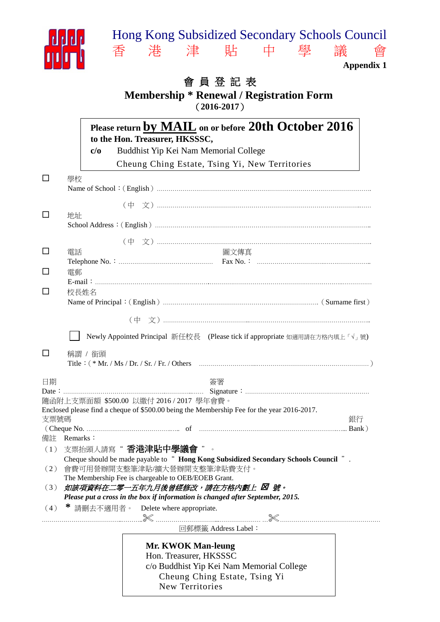

# 會 員 登 記 表 **Membership \* Renewal / Registration Form** (**2016-2017**)

|                                                                            |                                                                                                                   |                                                                                                                      | Please return by MAIL on or before 20th October 2016<br>to the Hon. Treasurer, HKSSSC,     |    |  |
|----------------------------------------------------------------------------|-------------------------------------------------------------------------------------------------------------------|----------------------------------------------------------------------------------------------------------------------|--------------------------------------------------------------------------------------------|----|--|
|                                                                            |                                                                                                                   | c/o                                                                                                                  | Buddhist Yip Kei Nam Memorial College                                                      |    |  |
|                                                                            |                                                                                                                   |                                                                                                                      | Cheung Ching Estate, Tsing Yi, New Territories                                             |    |  |
| $\Box$                                                                     | 學校                                                                                                                |                                                                                                                      |                                                                                            |    |  |
| ப                                                                          | 地址                                                                                                                |                                                                                                                      |                                                                                            |    |  |
|                                                                            |                                                                                                                   |                                                                                                                      |                                                                                            |    |  |
| $\Box$                                                                     | 電話                                                                                                                |                                                                                                                      | 圖文傳真                                                                                       |    |  |
| $\perp$<br>$\mathsf{L}$                                                    | 電郵                                                                                                                | 校長姓名                                                                                                                 |                                                                                            |    |  |
|                                                                            |                                                                                                                   |                                                                                                                      |                                                                                            |    |  |
|                                                                            |                                                                                                                   |                                                                                                                      |                                                                                            |    |  |
| Newly Appointed Principal 新任校長 (Please tick if appropriate 如適用請在方格內填上「√」號) |                                                                                                                   |                                                                                                                      |                                                                                            |    |  |
| ப                                                                          | 稱謂 / 銜頭                                                                                                           |                                                                                                                      |                                                                                            |    |  |
| 日期                                                                         |                                                                                                                   |                                                                                                                      | 簽署                                                                                         |    |  |
|                                                                            | 隨函附上支票面額 \$500.00 以繳付 2016 / 2017 學年會費。                                                                           |                                                                                                                      |                                                                                            |    |  |
|                                                                            |                                                                                                                   |                                                                                                                      | Enclosed please find a cheque of \$500.00 being the Membership Fee for the year 2016-2017. |    |  |
| 支票號碼                                                                       |                                                                                                                   |                                                                                                                      |                                                                                            | 銀行 |  |
|                                                                            | 備註 Remarks:                                                                                                       |                                                                                                                      |                                                                                            |    |  |
|                                                                            |                                                                                                                   |                                                                                                                      | (1) 支票抬頭人請寫"香港津貼中學議會"。                                                                     |    |  |
| (2)                                                                        |                                                                                                                   | Cheque should be made payable to " Hong Kong Subsidized Secondary Schools Council " .<br>會費可用營辦開支整筆津貼/擴大營辦開支整筆津貼費支付。 |                                                                                            |    |  |
|                                                                            |                                                                                                                   | The Membership Fee is chargeable to OEB/EOEB Grant.                                                                  |                                                                                            |    |  |
| (3)                                                                        | 如該項資料在二零一五年九月後曾經修改,請在方格内劃上 図 號。<br>Please put a cross in the box if information is changed after September, 2015. |                                                                                                                      |                                                                                            |    |  |
| (4)                                                                        |                                                                                                                   |                                                                                                                      | * 請刪去不適用者。 Delete where appropriate.                                                       |    |  |
|                                                                            |                                                                                                                   |                                                                                                                      | 回郵標籤 Address Label:                                                                        |    |  |
|                                                                            |                                                                                                                   |                                                                                                                      | Mr. KWOK Man-leung                                                                         |    |  |
|                                                                            |                                                                                                                   |                                                                                                                      | Hon. Treasurer, HKSSSC                                                                     |    |  |
|                                                                            |                                                                                                                   |                                                                                                                      | c/o Buddhist Yip Kei Nam Memorial College                                                  |    |  |
|                                                                            |                                                                                                                   |                                                                                                                      | Cheung Ching Estate, Tsing Yi<br>New Territories                                           |    |  |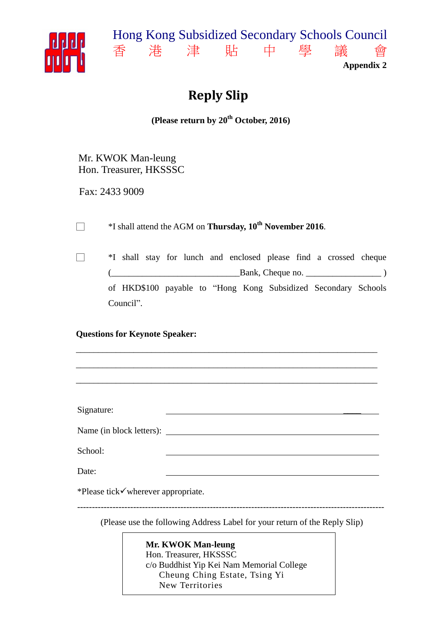



# **Reply Slip**

**(Please return by 20 th October, 2016)**

Mr. KWOK Man-leung Hon. Treasurer, HKSSSC

Fax: 2433 9009

□ \*I shall attend the AGM on **Thursday, 10 th November 2016**.

□ \*I shall stay for lunch and enclosed please find a crossed cheque  $\Box$  Bank, Cheque no.  $\Box$  ) of HKD\$100 payable to "Hong Kong Subsidized Secondary Schools Council".

## **Questions for Keynote Speaker:**

| Signature:                         |  |  |
|------------------------------------|--|--|
|                                    |  |  |
| School:                            |  |  |
| Date:                              |  |  |
| *Please tick√wherever appropriate. |  |  |

\_\_\_\_\_\_\_\_\_\_\_\_\_\_\_\_\_\_\_\_\_\_\_\_\_\_\_\_\_\_\_\_\_\_\_\_\_\_\_\_\_\_\_\_\_\_\_\_\_\_\_\_\_\_\_\_\_\_\_\_\_\_\_\_\_\_\_\_

(Please use the following Address Label for your return of the Reply Slip)

--------------------------------------------------------------------------------------------------------

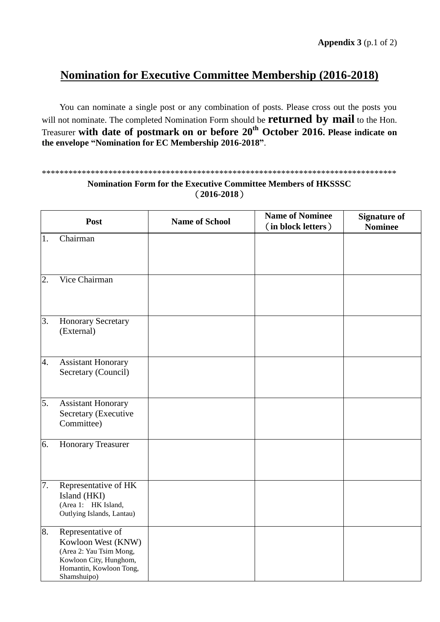# **Nomination for Executive Committee Membership (2016-2018)**

You can nominate a single post or any combination of posts. Please cross out the posts you will not nominate. The completed Nomination Form should be **returned by mail** to the Hon. Treasurer **with date of postmark on or before 20th October 2016. Please indicate on the envelope "Nomination for EC Membership 2016-2018"**.

### \*\*\*\*\*\*\*\*\*\*\*\*\*\*\*\*\*\*\*\*\*\*\*\*\*\*\*\*\*\*\*\*\*\*\*\*\*\*\*\*\*\*\*\*\*\*\*\*\*\*\*\*\*\*\*\*\*\*\*\*\*\*\*\*\*\*\*\*\*\*\*\*\*\*\*\*\*\*\*\*

## **Nomination Form for the Executive Committee Members of HKSSSC** (**2016-2018**)

|    | Post                                                                                                                                   | <b>Name of School</b> | <b>Name of Nominee</b><br>(in block letters) | <b>Signature of</b><br><b>Nominee</b> |
|----|----------------------------------------------------------------------------------------------------------------------------------------|-----------------------|----------------------------------------------|---------------------------------------|
| 1. | Chairman                                                                                                                               |                       |                                              |                                       |
| 2. | Vice Chairman                                                                                                                          |                       |                                              |                                       |
| 3. | <b>Honorary Secretary</b><br>(External)                                                                                                |                       |                                              |                                       |
| 4. | <b>Assistant Honorary</b><br>Secretary (Council)                                                                                       |                       |                                              |                                       |
| 5. | <b>Assistant Honorary</b><br>Secretary (Executive<br>Committee)                                                                        |                       |                                              |                                       |
| 6. | <b>Honorary Treasurer</b>                                                                                                              |                       |                                              |                                       |
| 7. | Representative of HK<br>Island (HKI)<br>(Area 1: HK Island,<br>Outlying Islands, Lantau)                                               |                       |                                              |                                       |
| 8. | Representative of<br>Kowloon West (KNW)<br>(Area 2: Yau Tsim Mong,<br>Kowloon City, Hunghom,<br>Homantin, Kowloon Tong,<br>Shamshuipo) |                       |                                              |                                       |